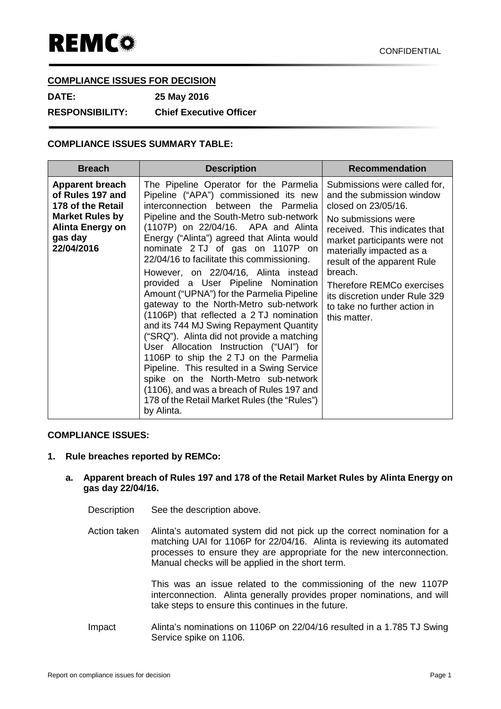# **COMPLIANCE ISSUES FOR DECISION**

**DATE: 25 May 2016 RESPONSIBILITY: Chief Executive Officer**

# **COMPLIANCE ISSUES SUMMARY TABLE:**

| <b>Breach</b>                                                                                                                                 | <b>Description</b>                                                                                                                                                                                                                                                                                                                                                                                                                                                                                                                                                                                                                                                                                                                                                                                                                                                                                                                          | <b>Recommendation</b>                                                                                                                                                                                                                                                                                                                                               |
|-----------------------------------------------------------------------------------------------------------------------------------------------|---------------------------------------------------------------------------------------------------------------------------------------------------------------------------------------------------------------------------------------------------------------------------------------------------------------------------------------------------------------------------------------------------------------------------------------------------------------------------------------------------------------------------------------------------------------------------------------------------------------------------------------------------------------------------------------------------------------------------------------------------------------------------------------------------------------------------------------------------------------------------------------------------------------------------------------------|---------------------------------------------------------------------------------------------------------------------------------------------------------------------------------------------------------------------------------------------------------------------------------------------------------------------------------------------------------------------|
| <b>Apparent breach</b><br>of Rules 197 and<br>178 of the Retail<br><b>Market Rules by</b><br><b>Alinta Energy on</b><br>gas day<br>22/04/2016 | The Pipeline Operator for the Parmelia<br>Pipeline ("APA") commissioned its new<br>interconnection between the Parmelia<br>Pipeline and the South-Metro sub-network<br>(1107P) on 22/04/16. APA and Alinta<br>Energy ("Alinta") agreed that Alinta would<br>nominate 2 TJ of gas on 1107P on<br>22/04/16 to facilitate this commissioning.<br>However, on 22/04/16, Alinta instead<br>provided a User Pipeline Nomination<br>Amount ("UPNA") for the Parmelia Pipeline<br>gateway to the North-Metro sub-network<br>(1106P) that reflected a 2 TJ nomination<br>and its 744 MJ Swing Repayment Quantity<br>("SRQ"). Alinta did not provide a matching<br>User Allocation Instruction ("UAI") for<br>1106P to ship the 2 TJ on the Parmelia<br>Pipeline. This resulted in a Swing Service<br>spike on the North-Metro sub-network<br>(1106), and was a breach of Rules 197 and<br>178 of the Retail Market Rules (the "Rules")<br>by Alinta. | Submissions were called for,<br>and the submission window<br>closed on 23/05/16.<br>No submissions were<br>received. This indicates that<br>market participants were not<br>materially impacted as a<br>result of the apparent Rule<br>breach.<br><b>Therefore REMCo exercises</b><br>its discretion under Rule 329<br>to take no further action in<br>this matter. |

## **COMPLIANCE ISSUES:**

## **1. Rule breaches reported by REMCo:**

## **a. Apparent breach of Rules 197 and 178 of the Retail Market Rules by Alinta Energy on gas day 22/04/16.**

- Description See the description above.
- Action taken Alinta's automated system did not pick up the correct nomination for a matching UAI for 1106P for 22/04/16. Alinta is reviewing its automated processes to ensure they are appropriate for the new interconnection. Manual checks will be applied in the short term.

This was an issue related to the commissioning of the new 1107P interconnection. Alinta generally provides proper nominations, and will take steps to ensure this continues in the future.

Impact Alinta's nominations on 1106P on 22/04/16 resulted in a 1.785 TJ Swing Service spike on 1106.